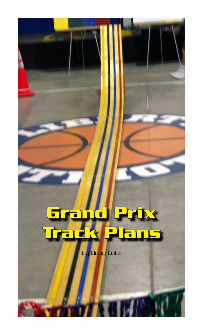

E kiri

by Doug Lotz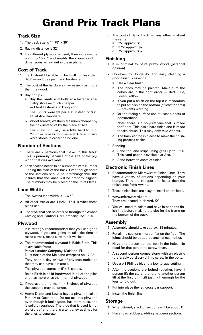# Grand Prix Track Plans

## **Track Size**

- 1. The track size is 14.75" x 35'
- 2. Racing distance is 32'.
- 3. If a different plywood is used; then increase the width to 15.75" and modify the corresponding dimensions as laid out in these plans.

## **Cost of Track**

- 1. Track should be able to be built for less than \$200 – includes paint and hardware.
- 2. The cost of the hardware may easier cost more than the wood.
- 3. Buying tips
	- a. Buy the T-nuts and bolts at a fastener speciality store — much cheaper. — Merit Fasteners in Longwood.

 The T-nuts were \$3 per 100 instead of \$.25 ea. at Ace Hardware.

- b. Wood screws, washers are much cheaper by the box instead of by the piece at Ace.
- c. The chain bolt may be a little hard to find. You may have to go to several different hardware stores in order to find one.

## **Number of Sections**

- 1. There are 7 sections that make up this track. This is primarily because of the size of the plywood that was available.
- 2. Each section needs to be numbered with Number 1 being the start of the track. Even though some of the sections should be interchangeable, this insures that the lanes will be properly aligned. The numbers may be placed on the Joint Plates.

## **Lane Width**

- 1. The Awana lane width is 1.375".
- 2. All other tracks are 1.625". This is what these plans use.
- 3. The track that can be ordered through the Awana Catalog and Piantiosi Oar Company use 1.625".

## **Plywood**

- 1. It is strongly recommended that you use good plywood. If you are going to take the time to make a track, make sure that it will last.
- 2. The recommended plywood is Baltic Birch. This is available from: Parker Lumber Company, Maitland, FL (Just north of the Maitland overpass on 17-92

 They need a day or two of advance notice so that they can have it in stock.

 This plywood comes in 5' x 5' sheets. Baltic Birch is solid hardwood in all of the plies and has more plies than normal plywood.

- 3. If you use the normal  $4' \times 8'$  sheet of plywood the sections may be longer.
- 4. Home Depot and Lowes have a plywood called Paraply or Guatambu. Do not use this plywood even though it looks good, has more plies, and is solid throughout. The glue that is used is not waterproof and there is a tendency at times for the plies to separate.
- 5. The cost of Baltic Birch vs. any other is about the same.
	- a. .25" approx. \$16
	- b. .375" approx. \$23
	- c. .75" approx. \$32

## **Finishing**

- 1. It is criminal to paint pretty wood (personal opinion).
- 2. However, for longevity, and easy cleaning a good finish is essential.
	- a. Use a clear finish.
	- b. The lanes may be painted. Make sure the colors are in the right order — Red, Blue, Green, Yellow.
	- c. If you put a finish on the top it is mandatory to put a finish on the bottom (at least 2 coats) — prevents warping.
	- d. For the racing surface use at least 5 coats of polyurethane.

 Note: there is a polyurethane that is made for floors. This has a hard finish and is made to take abuse. This may only take 2 coats.

- e. The track can be in pieces to make the finishing process easier.
- 3. Sanding
	- a. Sand the lane strips using grits up to 1500. This sand paper is available at Ace.
	- b. Sand between coats of finish.

## **Electronic Finish Lines**

- 1. Recommended: Microwizard Finish Lines. They have a variety of options depending on your budget. They are cheaper and faster than the finish lines from Awana.
- 2. These finish lines are easy to install and reliable.
- 3. www.microwizard.com They are located in Hazard, KY
- 4. You will need to select and have in hand the finish line before making the slot for the frame on the bottom of the track.

## **Assembly**

- 1. Assembly should take approx. 15 minutes.
- 2. Put all the sections in order flat on the floor. The joints should be butted up against each other.
- 3. Have one person put the bolt in the holes. No need for that person to screw them.
- 4. A second person comes along with an electric (preferably cordless) drill to screw in the bolts.
- 5. Use a #3 Phillips bit and a low torque setting.
- 6. After the sections are bolted together, have 1 person lift the starting end and another person lift at the first joint. Lift just high enough for the legs to fold out.
- 7. Put into place the leg cross bar support.
- 8. Install the finish line.

## **Storage**

- 1. When stored, stack of sections will be about 1'.
- 2. Place foam rubber padding between sections.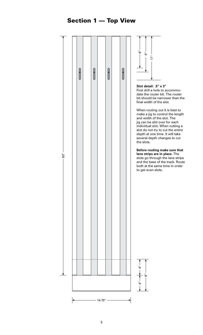# Section 1 — Top View

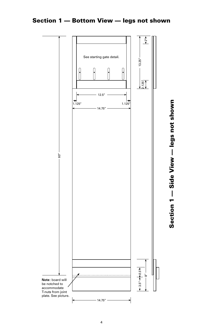

Section 1 — Bottom View — legs not shown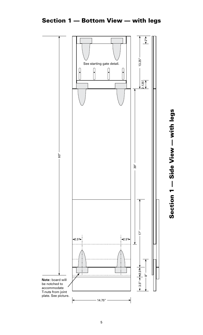

# Section 1 - Side View - with legs Section 1 — Side View — with legs

# Section 1 — Bottom View — with legs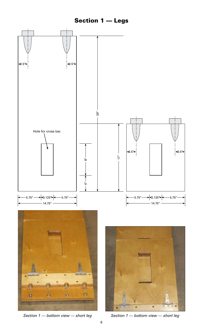# Section 1 — Legs



*Section 1 — bottom view — short leg Section 1 — bottom view — short leg*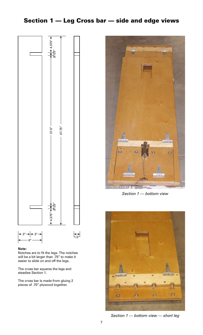# Section 1 — Leg Cross bar — side and edge views



### **Note:**

Notches are to fit the legs. The notches will be a bit larger than .75" to make it easier to slide on and off the legs.

The cross bar squares the legs and steadies Section 1.

The cross bar is made from gluing 2 pieces of .75" plywood together.



*Section 1 — bottom view*



*Section 1 — bottom view — short leg*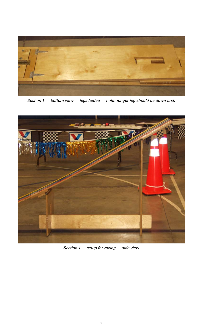

*Section 1 — bottom view — legs folded — note: longer leg should be down first.*



*Section 1 — setup for racing — side view*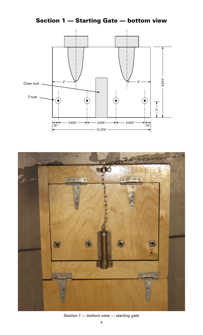Section 1 — Starting Gate — bottom view





*Section 1 — bottom view — starting gate*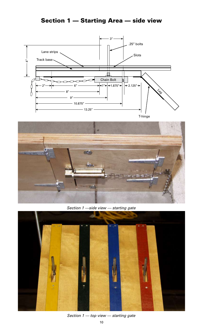# Section 1 — Starting Area — side view





*Section 1 —side view — starting gate*



*Section 1 — top view — starting gate*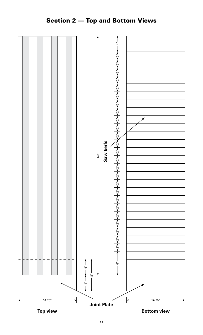# Section 2 — Top and Bottom Views



11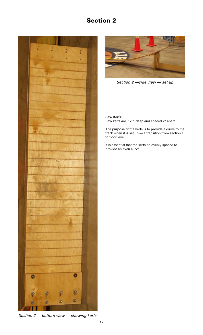# Section 2





*Section 2 —side view — set up*

## **Saw Kerfs:**

Saw kerfs are .125" deep and spaced 2" apart.

The purpose of the kerfs is to provide a curve to the track when it is set up — a transition from section 1 to floor level.

It is essential that the kerfs be evenly spaced to provide an even curve.

*Section 2 — bottom view — showing kerfs*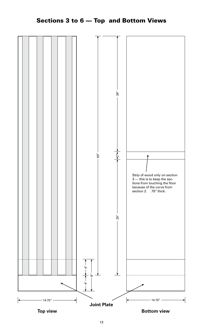

Sections 3 to 6 — Top and Bottom Views

**Top view Bottom view**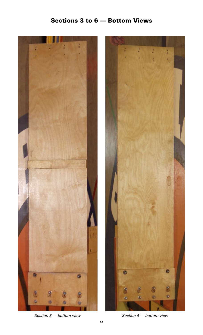# Sections 3 to 6 — Bottom Views





*Section 3 — bottom view Section 4 — bottom view*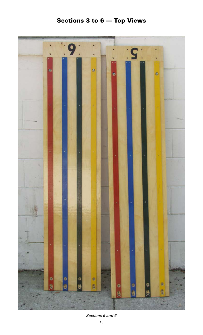# Sections 3 to 6 — Top Views



*Sections 5 and 6*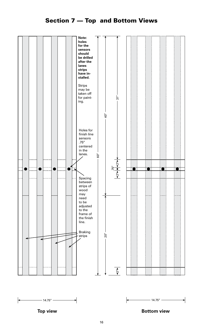# Section 7 — Top and Bottom Views





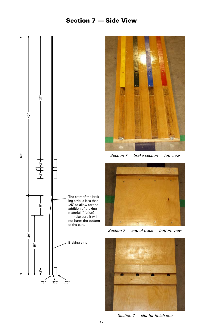# Section 7 — Side View





*Section 7 — brake section — top view*



*Section 7 — end of track — bottom view*



*Section 7 — slot for finish line*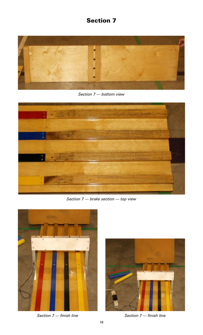# Section 7



*Section 7 — bottom view*



*Section 7 — brake section — top view*



*Section 7 — finish line Section 7 — finish line*

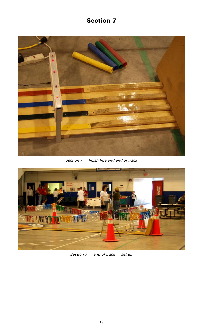# Section 7



*Section 7 — finish line and end of track*



*Section 7 — end of track — set up*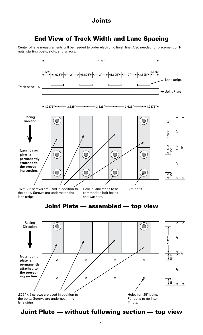## Joints

# End View of Track Width and Lane Spacing

Center of lane measurements will be needed to order electronic finish line. Also needed for placement of Tnuts, starting posts, slots, and screws.



.875" x 6 screws are used in addition to the bolts. Screws are underneath the lane strips.

Hole in lane strips to ac- .25" bolts commodate bolt heads

and washers.

# Joint Plate — assembled — top view



# Joint Plate — without following section — top view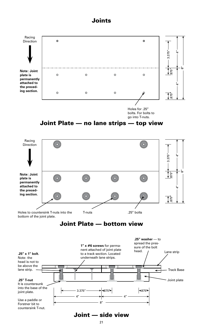## Joints

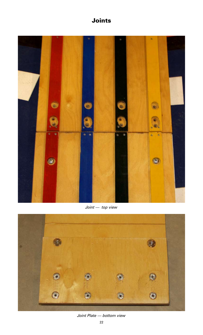# Joints



*Joint — top view*



## *Joint Plate — bottom view*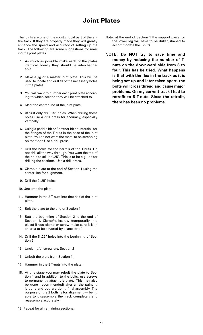# Joint Plates

The joints are one of the most critical part of the entire track. If they are properly made they will greatly enhance the speed and accuracy of setting up the track. The following are some suggestions for making the joint plates.

- 1. As much as possible make each of the plates identical. Ideally they should be interchangeable.
- 2. Make a jig or a master joint plate. This will be used to locate and drill all of the necessary holes in the plates.
- 3. You will want to number each joint plate according to which section they will be attached to.
- 4. Mark the center line of the joint plate.
- 5. At first only drill .25" holes. When drilling these holes use a drill press for accuracy, especially vertically.
- 6. Using a paddle bit or Forstner bit countersink for the flanges of the T-nuts in the base of the joint plate. You do not want the metal to be scrapping on the floor. Use a drill press.
- 7. Drill the holes for the barrels of the T-nuts. Do not drill all the way through. You want the top of the hole to still be .25". This is to be a guide for drilling the sections. Use a drill press.
- 8. Clamp a plate to the end of Section 1 using the center line for alignment.
- 9. Drill the 2 .25" holes.
- 10. Unclamp the plate.
- 11. Hammer in the 2 T-nuts into that half of the joint plate.
- 12. Bolt the plate to the end of Section 1.
- 13. Butt the beginning of Section 2 to the end of Section 1. Clamp/nail/screw (temporarily into place) If you clamp or screw make sure it is in an area to be covered by a lane strip.)
- 14. Drill the 8 .25" holes into the beginning of Section 2.
- 15. Unclamp/unscrew etc. Section 2
- 16. Unbolt the plate from Section 1.
- 17. Hammer in the 8 T-nuts into the plate.
- 18. At this stage you may rebolt the plate to Section 1 and in addition to the bolts, use screws to permanently attach the plate. This may also be done (recommended) after all the painting is done and you are doing final assembly. The purpose of the 2 bolts is for alignment — being able to disassemble the track completely and reassemble accurately.
- 18. Repeat for all remaining sections.
- Note: at the end of Section 1 the support piece for the lower leg will have to be drilled/shaped to accommodate the T-nuts.
- **NOTE: Do NOT try to save time and money by reducing the number of Tnuts on the downward side from 8 to four. This has be tried. What happens is that with the flex in the track as it is being set up and later taken apart, the bolts will cross thread and cause major problems. On my current track I had to retrofit to 8 T-nuts. Since the retrofit, there has been no problems.**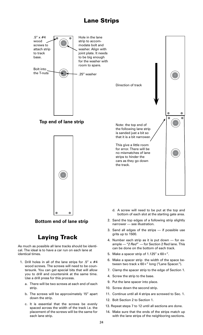# Lane Strips



# Laying Track

As much as possible all lane tracks should be identical. The ideal is to have a car run on each lane at identical times.

- 1. Drill holes in all of the lane strips for .5"  $\times$  #4 wood screws. The screws will need to be countersunk. You can get special bits that will allow you to drill and countersink at the same time. Use a drill press for this process.
	- a. There will be two screws at each end of each strip.
	- b. The screws will be approximately 15" apart down the strip.
	- c. It is essential that the screws be evenly spaced across the width of the track i.e. the placement of the screws will be the same for each lane strip.
- 4. Number each strip as it is put down for example — "*2 Red"* — for Section 2 Red lane. This can be done on the bottom of each track.
- 5. Make a spacer strip of  $1.125'' \times 60 +$ ".
- 6. Make a spacer strip the width of the space between two track x 60+" long ("Lane Spacer.").
- 7. Clamp the spacer strip to the edge of Section 1.
- 4. Screw the strip to the base.

grits up to 1500.

- 9. Put the lane spacer into place.
- 10. Screw down the second strip.
- 11. Continue until all 4 strips are screwed to Sec. 1.
- 12. Bolt Section 2 to Section 1.
- 13. Repeat steps 7 to 12 until all sections are done.
- 14. Make sure that the ends of the strips match up with the lane strips of the neighboring sections.